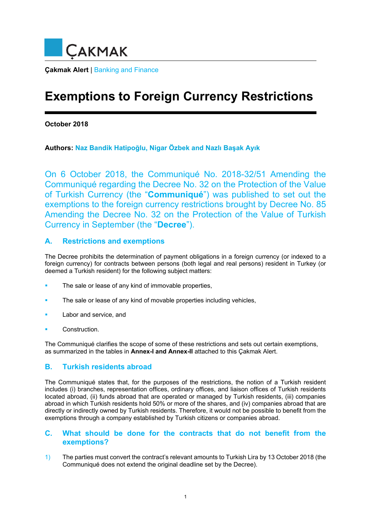

# **Exemptions to Foreign Currency Restrictions**

**October 2018** 

**Authors: Naz Bandik Hatipoğlu, Nigar Özbek and Nazlı Başak Ayık**

On 6 October 2018, the Communiqué No. 2018-32/51 Amending the Communiqué regarding the Decree No. 32 on the Protection of the Value of Turkish Currency (the "**Communiqué**") was published to set out the exemptions to the foreign currency restrictions brought by Decree No. 85 Amending the Decree No. 32 on the Protection of the Value of Turkish Currency in September (the "**Decree**").

# **A. Restrictions and exemptions**

The Decree prohibits the determination of payment obligations in a foreign currency (or indexed to a foreign currency) for contracts between persons (both legal and real persons) resident in Turkey (or deemed a Turkish resident) for the following subject matters:

- The sale or lease of any kind of immovable properties,
- The sale or lease of any kind of movable properties including vehicles,
- Labor and service, and
- Construction.

The Communiqué clarifies the scope of some of these restrictions and sets out certain exemptions, as summarized in the tables in **Annex-I and Annex-II** attached to this Çakmak Alert.

## **B. Turkish residents abroad**

The Communiqué states that, for the purposes of the restrictions, the notion of a Turkish resident includes (i) branches, representation offices, ordinary offices, and liaison offices of Turkish residents located abroad, (ii) funds abroad that are operated or managed by Turkish residents, (iii) companies abroad in which Turkish residents hold 50% or more of the shares, and (iv) companies abroad that are directly or indirectly owned by Turkish residents. Therefore, it would not be possible to benefit from the exemptions through a company established by Turkish citizens or companies abroad.

## **C. What should be done for the contracts that do not benefit from the exemptions?**

1) The parties must convert the contract's relevant amounts to Turkish Lira by 13 October 2018 (the Communiqué does not extend the original deadline set by the Decree).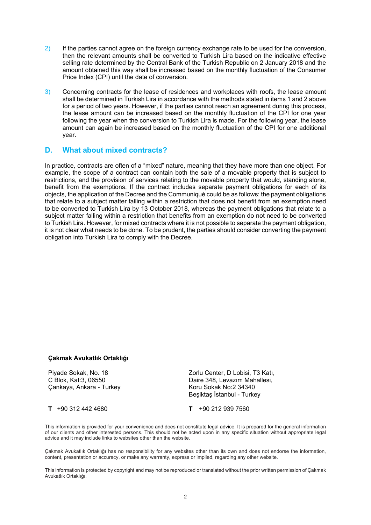- 2) If the parties cannot agree on the foreign currency exchange rate to be used for the conversion, then the relevant amounts shall be converted to Turkish Lira based on the indicative effective selling rate determined by the Central Bank of the Turkish Republic on 2 January 2018 and the amount obtained this way shall be increased based on the monthly fluctuation of the Consumer Price Index (CPI) until the date of conversion.
- 3) Concerning contracts for the lease of residences and workplaces with roofs, the lease amount shall be determined in Turkish Lira in accordance with the methods stated in items 1 and 2 above for a period of two years. However, if the parties cannot reach an agreement during this process, the lease amount can be increased based on the monthly fluctuation of the CPI for one year following the year when the conversion to Turkish Lira is made. For the following year, the lease amount can again be increased based on the monthly fluctuation of the CPI for one additional year.

## **D. What about mixed contracts?**

In practice, contracts are often of a "mixed" nature, meaning that they have more than one object. For example, the scope of a contract can contain both the sale of a movable property that is subject to restrictions, and the provision of services relating to the movable property that would, standing alone, benefit from the exemptions. If the contract includes separate payment obligations for each of its objects, the application of the Decree and the Communiqué could be as follows: the payment obligations that relate to a subject matter falling within a restriction that does not benefit from an exemption need to be converted to Turkish Lira by 13 October 2018, whereas the payment obligations that relate to a subject matter falling within a restriction that benefits from an exemption do not need to be converted to Turkish Lira. However, for mixed contracts where it is not possible to separate the payment obligation, it is not clear what needs to be done. To be prudent, the parties should consider converting the payment obligation into Turkish Lira to comply with the Decree.

#### **Çakmak Avukatlık Ortaklığı**

Piyade Sokak, No. 18 C Blok, Kat:3, 06550 Çankaya, Ankara - Turkey Zorlu Center, D Lobisi, T3 Katı, Daire 348, Levazım Mahallesi, Koru Sokak No:2 34340 Beşiktaş İstanbul - Turkey

**T** +90 312 442 4680 **T** +90 212 939 7560

This information is provided for your convenience and does not constitute legal advice. It is prepared for the general information of our clients and other interested persons. This should not be acted upon in any specific situation without appropriate legal advice and it may include links to websites other than the website.

Çakmak Avukatlık Ortaklığı has no responsibility for any websites other than its own and does not endorse the information, content, presentation or accuracy, or make any warranty, express or implied, regarding any other website.

This information is protected by copyright and may not be reproduced or translated without the prior written permission of Çakmak Avukatlık Ortaklığı.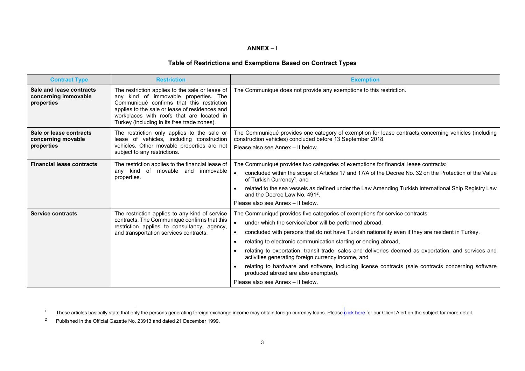#### **ANNEX – I**

### **Table of Restrictions and Exemptions Based on Contract Types**

| <b>Contract Type</b>                                           | <b>Restriction</b>                                                                                                                                                                                                                                                                  | <b>Exemption</b>                                                                                                                                                                                                                                                                                                                                                                                                                                                                                                                                                                                                                                               |
|----------------------------------------------------------------|-------------------------------------------------------------------------------------------------------------------------------------------------------------------------------------------------------------------------------------------------------------------------------------|----------------------------------------------------------------------------------------------------------------------------------------------------------------------------------------------------------------------------------------------------------------------------------------------------------------------------------------------------------------------------------------------------------------------------------------------------------------------------------------------------------------------------------------------------------------------------------------------------------------------------------------------------------------|
| Sale and lease contracts<br>concerning immovable<br>properties | The restriction applies to the sale or lease of<br>any kind of immovable properties. The<br>Communiqué confirms that this restriction<br>applies to the sale or lease of residences and<br>workplaces with roofs that are located in<br>Turkey (including in its free trade zones). | The Communiqué does not provide any exemptions to this restriction.                                                                                                                                                                                                                                                                                                                                                                                                                                                                                                                                                                                            |
| Sale or lease contracts<br>concerning movable<br>properties    | The restriction only applies to the sale or<br>lease of vehicles, including construction<br>vehicles. Other movable properties are not<br>subject to any restrictions.                                                                                                              | The Communiqué provides one category of exemption for lease contracts concerning vehicles (including<br>construction vehicles) concluded before 13 September 2018.<br>Please also see Annex - Il below.                                                                                                                                                                                                                                                                                                                                                                                                                                                        |
| <b>Financial lease contracts</b>                               | The restriction applies to the financial lease of<br>kind<br>of movable and immovable<br>any<br>properties.                                                                                                                                                                         | The Communiqué provides two categories of exemptions for financial lease contracts:<br>concluded within the scope of Articles 17 and 17/A of the Decree No. 32 on the Protection of the Value<br>of Turkish Currency <sup>1</sup> , and<br>related to the sea vessels as defined under the Law Amending Turkish International Ship Registry Law<br>and the Decree Law No. 491 <sup>2</sup>                                                                                                                                                                                                                                                                     |
|                                                                |                                                                                                                                                                                                                                                                                     | Please also see Annex - Il below.                                                                                                                                                                                                                                                                                                                                                                                                                                                                                                                                                                                                                              |
| <b>Service contracts</b>                                       | The restriction applies to any kind of service<br>contracts. The Communiqué confirms that this<br>restriction applies to consultancy, agency,<br>and transportation services contracts.                                                                                             | The Communiqué provides five categories of exemptions for service contracts:<br>under which the service/labor will be performed abroad,<br>concluded with persons that do not have Turkish nationality even if they are resident in Turkey,<br>relating to electronic communication starting or ending abroad,<br>relating to exportation, transit trade, sales and deliveries deemed as exportation, and services and<br>activities generating foreign currency income, and<br>relating to hardware and software, including license contracts (sale contracts concerning software<br>produced abroad are also exempted).<br>Please also see Annex - Il below. |

<sup>1</sup> These articles basically state that only the persons generating foreign exchange income may obtain foreign currency loans. Please [click](http://www.cakmak.av.tr/articles/Banking_Finance/113946178.pdf) here for our Client Alert on the subject for more detail.

<sup>2</sup> Published in the Official Gazette No. 23913 and dated 21 December 1999.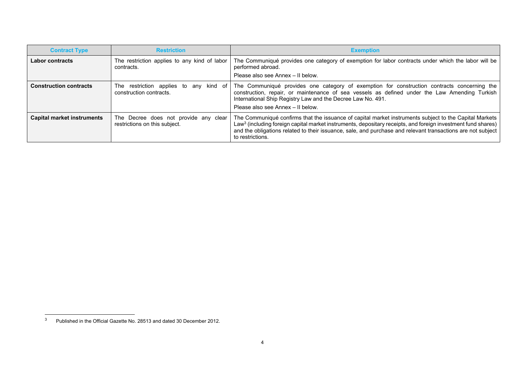| <b>Contract Type</b>              | <b>Restriction</b>                                                     | <b>Exemption</b>                                                                                                                                                                                                                                                                                                                                                      |
|-----------------------------------|------------------------------------------------------------------------|-----------------------------------------------------------------------------------------------------------------------------------------------------------------------------------------------------------------------------------------------------------------------------------------------------------------------------------------------------------------------|
| <b>Labor contracts</b>            | The restriction applies to any kind of labor<br>contracts.             | The Communiqué provides one category of exemption for labor contracts under which the labor will be<br>performed abroad.<br>Please also see Annex - Il below.                                                                                                                                                                                                         |
| <b>Construction contracts</b>     | restriction applies to any kind of<br>The<br>construction contracts.   | The Communiqué provides one category of exemption for construction contracts concerning the<br>construction, repair, or maintenance of sea vessels as defined under the Law Amending Turkish<br>International Ship Registry Law and the Decree Law No. 491.<br>Please also see Annex - Il below.                                                                      |
| <b>Capital market instruments</b> | The Decree does not provide any clear<br>restrictions on this subject. | The Communiqué confirms that the issuance of capital market instruments subject to the Capital Markets<br>Law <sup>3</sup> (including foreign capital market instruments, depositary receipts, and foreign investment fund shares)<br>and the obligations related to their issuance, sale, and purchase and relevant transactions are not subject<br>to restrictions. |

 $3$  Published in the Official Gazette No. 28513 and dated 30 December 2012.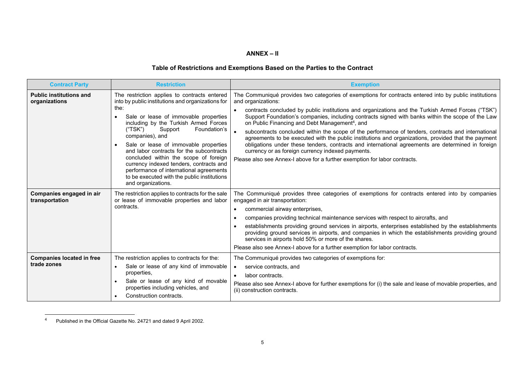#### **ANNEX – II**

# **Table of Restrictions and Exemptions Based on the Parties to the Contract**

| <b>Contract Party</b>                           | <b>Restriction</b>                                                                                                                                                                                                                                                                                                                                                                                                                                                                                                                            | <b>Exemption</b>                                                                                                                                                                                                                                                                                                                                                                                                                                                                                                                                                                                                                                                                                                                                                                                                                                          |
|-------------------------------------------------|-----------------------------------------------------------------------------------------------------------------------------------------------------------------------------------------------------------------------------------------------------------------------------------------------------------------------------------------------------------------------------------------------------------------------------------------------------------------------------------------------------------------------------------------------|-----------------------------------------------------------------------------------------------------------------------------------------------------------------------------------------------------------------------------------------------------------------------------------------------------------------------------------------------------------------------------------------------------------------------------------------------------------------------------------------------------------------------------------------------------------------------------------------------------------------------------------------------------------------------------------------------------------------------------------------------------------------------------------------------------------------------------------------------------------|
| <b>Public institutions and</b><br>organizations | The restriction applies to contracts entered<br>into by public institutions and organizations for<br>the:<br>Sale or lease of immovable properties<br>including by the Turkish Armed Forces<br>("TSK")<br>Support<br>Foundation's<br>companies), and<br>Sale or lease of immovable properties<br>and labor contracts for the subcontracts<br>concluded within the scope of foreign<br>currency indexed tenders, contracts and<br>performance of international agreements<br>to be executed with the public institutions<br>and organizations. | The Communiqué provides two categories of exemptions for contracts entered into by public institutions<br>and organizations:<br>contracts concluded by public institutions and organizations and the Turkish Armed Forces ("TSK")<br>Support Foundation's companies, including contracts signed with banks within the scope of the Law<br>on Public Financing and Debt Management <sup>4</sup> , and<br>subcontracts concluded within the scope of the performance of tenders, contracts and international<br>agreements to be executed with the public institutions and organizations, provided that the payment<br>obligations under these tenders, contracts and international agreements are determined in foreign<br>currency or as foreign currency indexed payments.<br>Please also see Annex-I above for a further exemption for labor contracts. |
| Companies engaged in air<br>transportation      | The restriction applies to contracts for the sale<br>or lease of immovable properties and labor<br>contracts.                                                                                                                                                                                                                                                                                                                                                                                                                                 | The Communiqué provides three categories of exemptions for contracts entered into by companies<br>engaged in air transportation:<br>commercial airway enterprises,<br>companies providing technical maintenance services with respect to aircrafts, and<br>establishments providing ground services in airports, enterprises established by the establishments<br>providing ground services in airports, and companies in which the establishments providing ground<br>services in airports hold 50% or more of the shares.<br>Please also see Annex-I above for a further exemption for labor contracts.                                                                                                                                                                                                                                                 |
| <b>Companies located in free</b><br>trade zones | The restriction applies to contracts for the:<br>Sale or lease of any kind of immovable<br>$\bullet$<br>properties,<br>Sale or lease of any kind of movable<br>properties including vehicles, and<br>Construction contracts.                                                                                                                                                                                                                                                                                                                  | The Communiqué provides two categories of exemptions for:<br>service contracts, and<br>$\bullet$<br>labor contracts.<br>Please also see Annex-I above for further exemptions for (i) the sale and lease of movable properties, and<br>(ii) construction contracts.                                                                                                                                                                                                                                                                                                                                                                                                                                                                                                                                                                                        |

<sup>4</sup> Published in the Official Gazette No. 24721 and dated 9 April 2002.